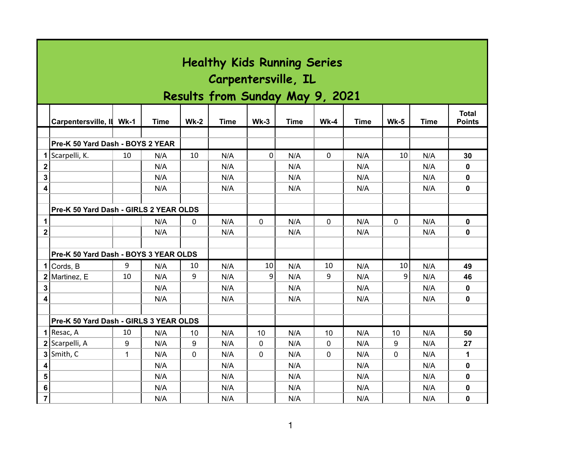|                  | <b>Healthy Kids Running Series</b><br>Carpentersville, IL<br>Results from Sunday May 9, 2021 |              |      |        |      |        |      |              |      |              |             |                               |  |
|------------------|----------------------------------------------------------------------------------------------|--------------|------|--------|------|--------|------|--------------|------|--------------|-------------|-------------------------------|--|
|                  | Carpentersville, II                                                                          | $Wk-1$       | Time | $Wk-2$ | Time | $Wk-3$ | Time | $Wk-4$       | Time | $Wk-5$       | <b>Time</b> | <b>Total</b><br><b>Points</b> |  |
|                  |                                                                                              |              |      |        |      |        |      |              |      |              |             |                               |  |
|                  | Pre-K 50 Yard Dash - BOYS 2 YEAR                                                             |              |      |        |      |        |      |              |      |              |             |                               |  |
| 1                | Scarpelli, K.                                                                                | 10           | N/A  | 10     | N/A  | 0      | N/A  | 0            | N/A  | 10           | N/A         | 30                            |  |
| $\boldsymbol{2}$ |                                                                                              |              | N/A  |        | N/A  |        | N/A  |              | N/A  |              | N/A         | 0                             |  |
| 3                |                                                                                              |              | N/A  |        | N/A  |        | N/A  |              | N/A  |              | N/A         | 0                             |  |
| 4                |                                                                                              |              | N/A  |        | N/A  |        | N/A  |              | N/A  |              | N/A         | 0                             |  |
|                  |                                                                                              |              |      |        |      |        |      |              |      |              |             |                               |  |
|                  | Pre-K 50 Yard Dash - GIRLS 2 YEAR OLDS                                                       |              |      |        |      |        |      |              |      |              |             |                               |  |
| 1                |                                                                                              |              | N/A  | 0      | N/A  | 0      | N/A  | 0            | N/A  | $\mathbf 0$  | N/A         | 0                             |  |
| $\mathbf 2$      |                                                                                              |              | N/A  |        | N/A  |        | N/A  |              | N/A  |              | N/A         | 0                             |  |
|                  |                                                                                              |              |      |        |      |        |      |              |      |              |             |                               |  |
|                  | Pre-K 50 Yard Dash - BOYS 3 YEAR OLDS                                                        |              |      |        |      |        |      |              |      |              |             |                               |  |
| 1                | Cords, B                                                                                     | 9            | N/A  | 10     | N/A  | 10     | N/A  | 10           | N/A  | 10           | N/A         | 49                            |  |
|                  | $2$ Martinez, E                                                                              | 10           | N/A  | 9      | N/A  | 9      | N/A  | 9            | N/A  | 9            | N/A         | 46                            |  |
| 3                |                                                                                              |              | N/A  |        | N/A  |        | N/A  |              | N/A  |              | N/A         | 0                             |  |
| 4                |                                                                                              |              | N/A  |        | N/A  |        | N/A  |              | N/A  |              | N/A         | 0                             |  |
|                  |                                                                                              |              |      |        |      |        |      |              |      |              |             |                               |  |
|                  | Pre-K 50 Yard Dash - GIRLS 3 YEAR OLDS                                                       |              |      |        |      |        |      |              |      |              |             |                               |  |
|                  | $1$ Resac, A                                                                                 | 10           | N/A  | 10     | N/A  | 10     | N/A  | 10           | N/A  | 10           | N/A         | 50                            |  |
|                  | 2 Scarpelli, A                                                                               | 9            | N/A  | 9      | N/A  | 0      | N/A  | $\mathbf{0}$ | N/A  | 9            | N/A         | 27                            |  |
|                  | $3$ Smith, C                                                                                 | $\mathbf{1}$ | N/A  | 0      | N/A  | 0      | N/A  | $\mathbf{0}$ | N/A  | $\mathbf{0}$ | N/A         | 1                             |  |
| 4                |                                                                                              |              | N/A  |        | N/A  |        | N/A  |              | N/A  |              | N/A         | 0                             |  |
| 5                |                                                                                              |              | N/A  |        | N/A  |        | N/A  |              | N/A  |              | N/A         | 0                             |  |
| 6                |                                                                                              |              | N/A  |        | N/A  |        | N/A  |              | N/A  |              | N/A         | 0                             |  |
| $\overline{7}$   |                                                                                              |              | N/A  |        | N/A  |        | N/A  |              | N/A  |              | N/A         | 0                             |  |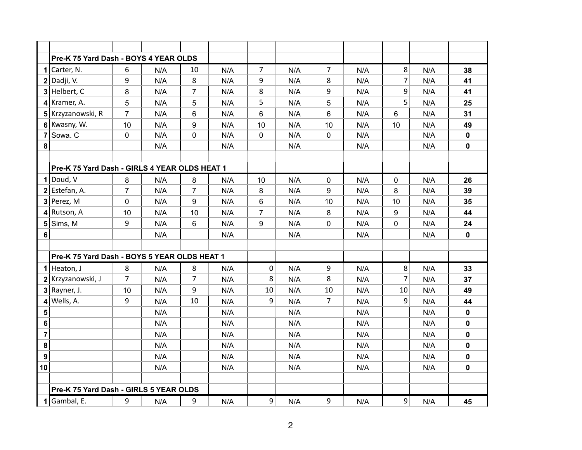|                  | Pre-K 75 Yard Dash - BOYS 4 YEAR OLDS         |                |     |                |     |                 |     |                |     |                |     |              |
|------------------|-----------------------------------------------|----------------|-----|----------------|-----|-----------------|-----|----------------|-----|----------------|-----|--------------|
|                  | 1 Carter, N.                                  | 6              | N/A | 10             | N/A | 7               | N/A | $\overline{7}$ | N/A | 8              | N/A | 38           |
|                  | $2$ Dadji, V.                                 | 9              | N/A | 8              | N/A | 9               | N/A | 8              | N/A | $\overline{7}$ | N/A | 41           |
|                  | $3$ Helbert, C                                | 8              | N/A | $\overline{7}$ | N/A | 8               | N/A | 9              | N/A | 9              | N/A | 41           |
|                  | $4$ Kramer, A.                                | 5              | N/A | 5              | N/A | 5               | N/A | 5              | N/A | 5              | N/A | 25           |
|                  | 5 Krzyzanowski, R                             | $\overline{7}$ | N/A | 6              | N/A | $6\phantom{1}6$ | N/A | 6              | N/A | 6              | N/A | 31           |
|                  | 6 Kwasny, W.                                  | 10             | N/A | 9              | N/A | 10              | N/A | 10             | N/A | 10             | N/A | 49           |
| $\overline{7}$   | Sowa. C                                       | 0              | N/A | 0              | N/A | $\mathbf 0$     | N/A | $\mathbf 0$    | N/A |                | N/A | $\mathbf 0$  |
| 8                |                                               |                | N/A |                | N/A |                 | N/A |                | N/A |                | N/A | $\mathbf 0$  |
|                  |                                               |                |     |                |     |                 |     |                |     |                |     |              |
|                  | Pre-K 75 Yard Dash - GIRLS 4 YEAR OLDS HEAT 1 |                |     |                |     |                 |     |                |     |                |     |              |
|                  | $1$ Doud, V                                   | 8              | N/A | 8              | N/A | 10              | N/A | $\mathbf 0$    | N/A | 0              | N/A | 26           |
|                  | $2$ Estefan, A.                               | $\overline{7}$ | N/A | $\overline{7}$ | N/A | 8               | N/A | 9              | N/A | 8              | N/A | 39           |
|                  | $3$ Perez, M                                  | 0              | N/A | 9              | N/A | 6               | N/A | 10             | N/A | 10             | N/A | 35           |
|                  | $4$ Rutson, A                                 | 10             | N/A | 10             | N/A | $\overline{7}$  | N/A | 8              | N/A | 9              | N/A | 44           |
| 5                | Sims, M                                       | 9              | N/A | 6              | N/A | 9               | N/A | 0              | N/A | 0              | N/A | 24           |
| 6                |                                               |                | N/A |                | N/A |                 | N/A |                | N/A |                | N/A | $\mathbf 0$  |
|                  |                                               |                |     |                |     |                 |     |                |     |                |     |              |
|                  | Pre-K 75 Yard Dash - BOYS 5 YEAR OLDS HEAT 1  |                |     |                |     |                 |     |                |     |                |     |              |
|                  | $1$ Heaton, J                                 | 8              | N/A | 8              | N/A | $\pmb{0}$       | N/A | 9              | N/A | 8              | N/A | 33           |
|                  | 2 Krzyzanowski, J                             | $\overline{7}$ | N/A | $\overline{7}$ | N/A | 8               | N/A | 8              | N/A | $\overline{7}$ | N/A | 37           |
|                  | $3$ Rayner, J.                                | 10             | N/A | 9              | N/A | 10              | N/A | 10             | N/A | 10             | N/A | 49           |
| 4                | Wells, A.                                     | 9              | N/A | 10             | N/A | 9               | N/A | 7              | N/A | 9              | N/A | 44           |
| 5                |                                               |                | N/A |                | N/A |                 | N/A |                | N/A |                | N/A | $\mathbf 0$  |
| 6                |                                               |                | N/A |                | N/A |                 | N/A |                | N/A |                | N/A | $\mathbf 0$  |
| $\overline{7}$   |                                               |                | N/A |                | N/A |                 | N/A |                | N/A |                | N/A | $\mathbf{0}$ |
| 8                |                                               |                | N/A |                | N/A |                 | N/A |                | N/A |                | N/A | $\mathbf{0}$ |
| $\boldsymbol{9}$ |                                               |                | N/A |                | N/A |                 | N/A |                | N/A |                | N/A | $\pmb{0}$    |
| 10               |                                               |                | N/A |                | N/A |                 | N/A |                | N/A |                | N/A | $\mathbf{0}$ |
|                  |                                               |                |     |                |     |                 |     |                |     |                |     |              |
|                  | Pre-K 75 Yard Dash - GIRLS 5 YEAR OLDS        |                |     |                |     |                 |     |                |     |                |     |              |
|                  | $1$ Gambal, E.                                | 9              | N/A | 9              | N/A | 9               | N/A | 9              | N/A | $\overline{9}$ | N/A | 45           |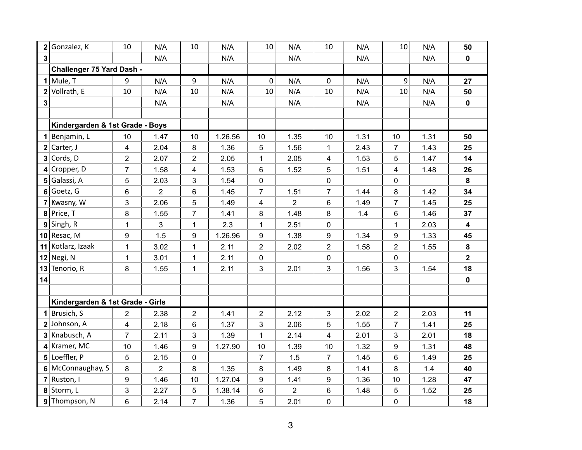| $\mathbf 2$    | Gonzalez, K                      | 10             | N/A            | 10             | N/A     | 10             | N/A            | 10             | N/A  | 10 <sup>1</sup> | N/A  | 50                      |
|----------------|----------------------------------|----------------|----------------|----------------|---------|----------------|----------------|----------------|------|-----------------|------|-------------------------|
| $\overline{3}$ |                                  |                | N/A            |                | N/A     |                | N/A            |                | N/A  |                 | N/A  | $\mathbf 0$             |
|                | Challenger 75 Yard Dash -        |                |                |                |         |                |                |                |      |                 |      |                         |
|                | $1$ Mule, T                      | 9              | N/A            | 9              | N/A     | 0              | N/A            | 0              | N/A  | 9 <sup>1</sup>  | N/A  | 27                      |
| $\mathbf 2$    | Vollrath, E                      | 10             | N/A            | 10             | N/A     | 10             | N/A            | 10             | N/A  | 10              | N/A  | 50                      |
| 3              |                                  |                | N/A            |                | N/A     |                | N/A            |                | N/A  |                 | N/A  | $\mathbf 0$             |
|                |                                  |                |                |                |         |                |                |                |      |                 |      |                         |
|                | Kindergarden & 1st Grade - Boys  |                |                |                |         |                |                |                |      |                 |      |                         |
|                | 1 Benjamin, L                    | 10             | 1.47           | 10             | 1.26.56 | 10             | 1.35           | 10             | 1.31 | 10              | 1.31 | 50                      |
|                | $2$ Carter, J                    | $\overline{4}$ | 2.04           | 8              | 1.36    | 5              | 1.56           | 1              | 2.43 | $\overline{7}$  | 1.43 | 25                      |
|                | $3$ Cords, D                     | $\overline{2}$ | 2.07           | $\overline{2}$ | 2.05    | $\mathbf{1}$   | 2.05           | 4              | 1.53 | 5               | 1.47 | 14                      |
|                | $4$ Cropper, D                   | $\overline{7}$ | 1.58           | 4              | 1.53    | 6              | 1.52           | 5              | 1.51 | 4               | 1.48 | 26                      |
| 5 <sup>1</sup> | Galassi, A                       | 5              | 2.03           | 3              | 1.54    | $\mathbf 0$    |                | $\pmb{0}$      |      | $\mathbf 0$     |      | 8                       |
|                | $6$ Goetz, G                     | 6              | 2              | 6              | 1.45    | $\overline{7}$ | 1.51           | $\overline{7}$ | 1.44 | 8               | 1.42 | 34                      |
|                | 7 Kwasny, W                      | 3              | 2.06           | 5              | 1.49    | $\overline{4}$ | $\overline{2}$ | 6              | 1.49 | $\overline{7}$  | 1.45 | 25                      |
|                | $8$ Price, T                     | 8              | 1.55           | $\overline{7}$ | 1.41    | 8              | 1.48           | 8              | 1.4  | 6               | 1.46 | 37                      |
|                | $9$ Singh, R                     | 1              | 3              | $\mathbf 1$    | 2.3     | $\mathbf{1}$   | 2.51           | $\mathbf 0$    |      | $\mathbf{1}$    | 2.03 | $\overline{\mathbf{4}}$ |
|                | $10$ Resac, M                    | 9              | 1.5            | 9              | 1.26.96 | 9              | 1.38           | 9              | 1.34 | 9               | 1.33 | 45                      |
|                | 11 Kotlarz, Izaak                | 1              | 3.02           | $\mathbf{1}$   | 2.11    | $\overline{2}$ | 2.02           | $\overline{2}$ | 1.58 | $\overline{2}$  | 1.55 | 8                       |
|                | $12$ Negi, N                     | 1              | 3.01           | $\mathbf{1}$   | 2.11    | $\mathbf 0$    |                | $\pmb{0}$      |      | $\mathbf 0$     |      | $\overline{2}$          |
| 13             | Tenorio, R                       | 8              | 1.55           | $\mathbf{1}$   | 2.11    | 3              | 2.01           | 3              | 1.56 | 3               | 1.54 | 18                      |
| 14             |                                  |                |                |                |         |                |                |                |      |                 |      | 0                       |
|                |                                  |                |                |                |         |                |                |                |      |                 |      |                         |
|                | Kindergarden & 1st Grade - Girls |                |                |                |         |                |                |                |      |                 |      |                         |
|                | 1 Brusich, S                     | $\overline{2}$ | 2.38           | $\overline{2}$ | 1.41    | $\overline{2}$ | 2.12           | 3              | 2.02 | $\overline{2}$  | 2.03 | 11                      |
|                | $2$ Johnson, A                   | $\overline{4}$ | 2.18           | 6              | 1.37    | 3              | 2.06           | 5              | 1.55 | $\overline{7}$  | 1.41 | 25                      |
|                | 3 Knabusch, A                    | $\overline{7}$ | 2.11           | 3              | 1.39    | $\mathbf{1}$   | 2.14           | 4              | 2.01 | 3               | 2.01 | 18                      |
|                | $4$ Kramer, MC                   | 10             | 1.46           | 9              | 1.27.90 | 10             | 1.39           | 10             | 1.32 | 9               | 1.31 | 48                      |
|                | $5$ Loeffler, P                  | 5              | 2.15           | 0              |         | $\overline{7}$ | 1.5            | $\overline{7}$ | 1.45 | 6               | 1.49 | 25                      |
|                | 6 McConnaughay, S                | 8              | $\overline{2}$ | 8              | 1.35    | 8              | 1.49           | 8              | 1.41 | 8               | 1.4  | 40                      |
|                | $7$ Ruston, I                    | 9              | 1.46           | 10             | 1.27.04 | 9              | 1.41           | 9              | 1.36 | 10              | 1.28 | 47                      |
|                | $8$ Storm, L                     | 3              | 2.27           | 5              | 1.38.14 | 6              | $\overline{2}$ | 6              | 1.48 | 5               | 1.52 | 25                      |
|                | 9 Thompson, N                    | 6              | 2.14           | $\overline{7}$ | 1.36    | 5              | 2.01           | $\mathbf 0$    |      | $\mathbf 0$     |      | 18                      |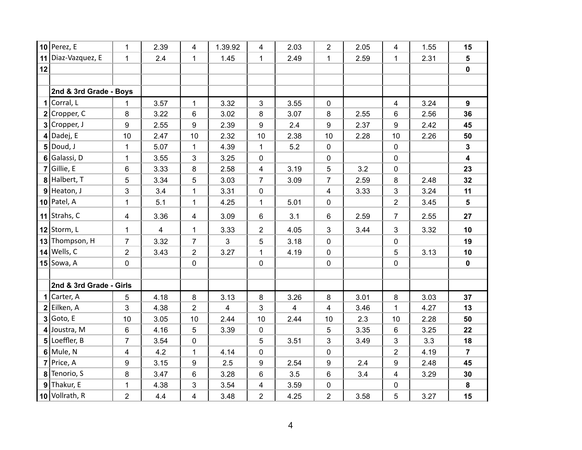|    | $10$ Perez, E           | $\mathbf{1}$   | 2.39 | 4                       | 1.39.92      | 4              | 2.03           | $\overline{2}$ | 2.05 | 4              | 1.55 | 15                      |
|----|-------------------------|----------------|------|-------------------------|--------------|----------------|----------------|----------------|------|----------------|------|-------------------------|
|    | 11 Diaz-Vazquez, E      | $\mathbf{1}$   | 2.4  | $\mathbf{1}$            | 1.45         | $\mathbf{1}$   | 2.49           | $\mathbf{1}$   | 2.59 | $\mathbf{1}$   | 2.31 | 5                       |
| 12 |                         |                |      |                         |              |                |                |                |      |                |      | $\pmb{0}$               |
|    |                         |                |      |                         |              |                |                |                |      |                |      |                         |
|    | 2nd & 3rd Grade - Boys  |                |      |                         |              |                |                |                |      |                |      |                         |
|    | $1$ Corral, L           | 1              | 3.57 | $\mathbf 1$             | 3.32         | $\mathbf{3}$   | 3.55           | $\pmb{0}$      |      | $\overline{4}$ | 3.24 | 9                       |
|    | $2$ Cropper, C          | 8              | 3.22 | 6                       | 3.02         | 8              | 3.07           | 8              | 2.55 | 6              | 2.56 | 36                      |
|    | $3$ Cropper, J          | 9              | 2.55 | 9                       | 2.39         | 9              | 2.4            | 9              | 2.37 | 9              | 2.42 | 45                      |
|    | $4$ Dadej, E            | 10             | 2.47 | 10                      | 2.32         | 10             | 2.38           | 10             | 2.28 | 10             | 2.26 | 50                      |
|    | $5$ Doud, J             | $\mathbf 1$    | 5.07 | 1                       | 4.39         | $\mathbf 1$    | 5.2            | $\pmb{0}$      |      | $\mathbf 0$    |      | $\mathbf{3}$            |
|    | 6 Galassi, D            | $\mathbf{1}$   | 3.55 | 3                       | 3.25         | $\mathbf 0$    |                | $\pmb{0}$      |      | $\mathbf 0$    |      | $\overline{\mathbf{4}}$ |
|    | $7$ Gillie, E           | 6              | 3.33 | 8                       | 2.58         | $\overline{4}$ | 3.19           | 5              | 3.2  | $\mathbf 0$    |      | 23                      |
|    | 8 Halbert, T            | 5              | 3.34 | 5                       | 3.03         | $\overline{7}$ | 3.09           | $\overline{7}$ | 2.59 | $\bf 8$        | 2.48 | 32                      |
|    | $9$ Heaton, J           | 3              | 3.4  | $\mathbf 1$             | 3.31         | 0              |                | 4              | 3.33 | 3              | 3.24 | 11                      |
|    | $10$ Patel, A           | $\mathbf{1}$   | 5.1  | $\mathbf 1$             | 4.25         | $\mathbf 1$    | 5.01           | $\pmb{0}$      |      | $\overline{2}$ | 3.45 | $5\phantom{.0}$         |
|    | 11 Strahs, $C$          | $\overline{4}$ | 3.36 | 4                       | 3.09         | 6              | 3.1            | 6              | 2.59 | $\overline{7}$ | 2.55 | 27                      |
|    | 12 Storm, $L$           | $\mathbf{1}$   | 4    | 1                       | 3.33         | $\overline{2}$ | 4.05           | 3              | 3.44 | 3              | 3.32 | 10                      |
|    | 13 Thompson, H          | $\overline{7}$ | 3.32 | $\overline{7}$          | $\mathbf{3}$ | 5              | 3.18           | $\pmb{0}$      |      | $\mathbf 0$    |      | 19                      |
|    | $14$ Wells, C           | $\overline{2}$ | 3.43 | $\overline{2}$          | 3.27         | $\mathbf{1}$   | 4.19           | $\pmb{0}$      |      | $\sqrt{5}$     | 3.13 | 10                      |
|    | $15$ Sowa, A            | 0              |      | 0                       |              | $\mathbf 0$    |                | 0              |      | $\pmb{0}$      |      | $\mathbf 0$             |
|    |                         |                |      |                         |              |                |                |                |      |                |      |                         |
|    | 2nd & 3rd Grade - Girls |                |      |                         |              |                |                |                |      |                |      |                         |
|    | $1$ Carter, A           | 5              | 4.18 | 8                       | 3.13         | 8              | 3.26           | 8              | 3.01 | 8              | 3.03 | 37                      |
|    | $2$ Eilken, A           | 3              | 4.38 | $\overline{2}$          | 4            | 3              | $\overline{4}$ | 4              | 3.46 | $\mathbf{1}$   | 4.27 | 13                      |
|    | $3$ Goto, E             | 10             | 3.05 | 10                      | 2.44         | 10             | 2.44           | 10             | 2.3  | 10             | 2.28 | 50                      |
|    | $4$ Joustra, M          | 6              | 4.16 | 5                       | 3.39         | $\mathbf 0$    |                | 5              | 3.35 | 6              | 3.25 | 22                      |
|    | $5$ Loeffler, B         | $\overline{7}$ | 3.54 | 0                       |              | 5              | 3.51           | 3              | 3.49 | 3              | 3.3  | 18                      |
|    | $6$ Mule, N             | $\overline{4}$ | 4.2  | $\mathbf 1$             | 4.14         | $\mathbf 0$    |                | $\pmb{0}$      |      | $\overline{2}$ | 4.19 | $\overline{7}$          |
|    | $7$ Price, A            | 9              | 3.15 | 9                       | 2.5          | 9              | 2.54           | 9              | 2.4  | 9              | 2.48 | 45                      |
|    | 8 Tenorio, S            | 8              | 3.47 | 6                       | 3.28         | 6              | 3.5            | 6              | 3.4  | 4              | 3.29 | 30                      |
|    | $9$ Thakur, E           | $\mathbf{1}$   | 4.38 | 3                       | 3.54         | 4              | 3.59           | $\pmb{0}$      |      | $\mathbf 0$    |      | 8                       |
|    | 10 Vollrath, R          | $\overline{2}$ | 4.4  | $\overline{\mathbf{4}}$ | 3.48         | $\overline{2}$ | 4.25           | $\overline{2}$ | 3.58 | 5              | 3.27 | 15                      |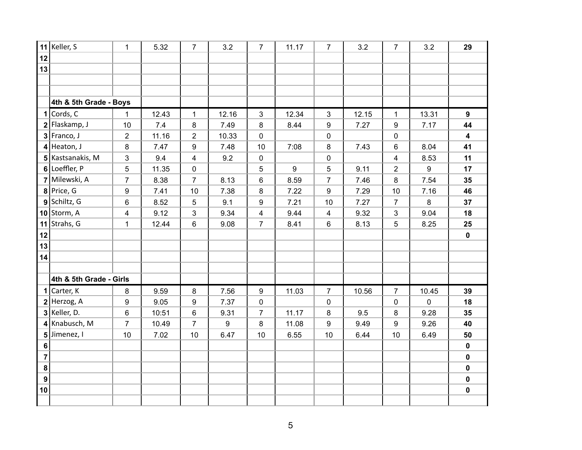|                  | 11 Keller, S            | 1                       | 5.32  | $\overline{7}$          | 3.2   | $\overline{7}$  | 11.17            | 7                | 3.2   | $\overline{7}$          | 3.2   | 29                      |
|------------------|-------------------------|-------------------------|-------|-------------------------|-------|-----------------|------------------|------------------|-------|-------------------------|-------|-------------------------|
| 12               |                         |                         |       |                         |       |                 |                  |                  |       |                         |       |                         |
| 13               |                         |                         |       |                         |       |                 |                  |                  |       |                         |       |                         |
|                  |                         |                         |       |                         |       |                 |                  |                  |       |                         |       |                         |
|                  |                         |                         |       |                         |       |                 |                  |                  |       |                         |       |                         |
|                  | 4th & 5th Grade - Boys  |                         |       |                         |       |                 |                  |                  |       |                         |       |                         |
|                  | $1$ Cords, C            | 1                       | 12.43 | $\mathbf{1}$            | 12.16 | $\mathfrak{S}$  | 12.34            | $\mathfrak{S}$   | 12.15 | $\mathbf{1}$            | 13.31 | 9                       |
|                  | $2$ Flaskamp, J         | 10                      | 7.4   | 8                       | 7.49  | 8               | 8.44             | 9                | 7.27  | 9                       | 7.17  | 44                      |
|                  | $3$ Franco, J           | $\overline{2}$          | 11.16 | $\overline{2}$          | 10.33 | $\mathbf 0$     |                  | 0                |       | $\mathbf 0$             |       | $\overline{\mathbf{4}}$ |
|                  | $4$ Heaton, J           | 8                       | 7.47  | 9                       | 7.48  | 10              | 7:08             | 8                | 7.43  | 6                       | 8.04  | 41                      |
|                  | 5 Kastsanakis, M        | 3                       | 9.4   | $\overline{\mathbf{4}}$ | 9.2   | $\mathbf 0$     |                  | 0                |       | $\overline{\mathbf{4}}$ | 8.53  | 11                      |
|                  | 6 Loeffler, P           | 5                       | 11.35 | 0                       |       | $5\phantom{.0}$ | $\boldsymbol{9}$ | 5                | 9.11  | $\overline{2}$          | 9     | 17                      |
|                  | 7 Milewski, A           | $\overline{7}$          | 8.38  | $\overline{7}$          | 8.13  | 6               | 8.59             | $\overline{7}$   | 7.46  | 8                       | 7.54  | 35                      |
|                  | $8$ Price, G            | $\boldsymbol{9}$        | 7.41  | 10                      | 7.38  | 8               | 7.22             | 9                | 7.29  | 10                      | 7.16  | 46                      |
|                  | $9$ Schiltz, G          | $\,6\,$                 | 8.52  | 5                       | 9.1   | 9               | 7.21             | $10$             | 7.27  | $\overline{7}$          | 8     | 37                      |
|                  | 10 Storm, $A$           | $\overline{\mathbf{4}}$ | 9.12  | 3                       | 9.34  | $\overline{4}$  | 9.44             | 4                | 9.32  | 3                       | 9.04  | 18                      |
|                  | 11 Strahs, $G$          | 1                       | 12.44 | 6                       | 9.08  | $\overline{7}$  | 8.41             | 6                | 8.13  | 5                       | 8.25  | 25                      |
| 12               |                         |                         |       |                         |       |                 |                  |                  |       |                         |       | $\mathbf 0$             |
| 13               |                         |                         |       |                         |       |                 |                  |                  |       |                         |       |                         |
| 14               |                         |                         |       |                         |       |                 |                  |                  |       |                         |       |                         |
|                  |                         |                         |       |                         |       |                 |                  |                  |       |                         |       |                         |
|                  | 4th & 5th Grade - Girls |                         |       |                         |       |                 |                  |                  |       |                         |       |                         |
|                  | 1 Carter, $K$           | 8                       | 9.59  | 8                       | 7.56  | 9               | 11.03            | $\overline{7}$   | 10.56 | $\overline{7}$          | 10.45 | 39                      |
|                  | $2$ Herzog, A           | $\boldsymbol{9}$        | 9.05  | 9                       | 7.37  | $\pmb{0}$       |                  | 0                |       | $\mathbf 0$             | 0     | 18                      |
|                  | $3$ Keller, D.          | $\,6\,$                 | 10:51 | 6                       | 9.31  | $\overline{7}$  | 11.17            | 8                | 9.5   | $\bf 8$                 | 9.28  | 35                      |
|                  | 4 Knabusch, M           | $\overline{7}$          | 10.49 | $\overline{7}$          | 9     | 8               | 11.08            | $\boldsymbol{9}$ | 9.49  | 9                       | 9.26  | 40                      |
| 5 <sup>1</sup>   | Jimenez, I              | 10                      | 7.02  | 10                      | 6.47  | 10              | 6.55             | 10               | 6.44  | 10                      | 6.49  | 50                      |
| 6                |                         |                         |       |                         |       |                 |                  |                  |       |                         |       | $\mathbf 0$             |
| $\overline{7}$   |                         |                         |       |                         |       |                 |                  |                  |       |                         |       | $\mathbf 0$             |
| $\pmb{8}$        |                         |                         |       |                         |       |                 |                  |                  |       |                         |       | $\pmb{0}$               |
| $\boldsymbol{9}$ |                         |                         |       |                         |       |                 |                  |                  |       |                         |       | $\bf{0}$                |
| 10               |                         |                         |       |                         |       |                 |                  |                  |       |                         |       | $\pmb{0}$               |
|                  |                         |                         |       |                         |       |                 |                  |                  |       |                         |       |                         |